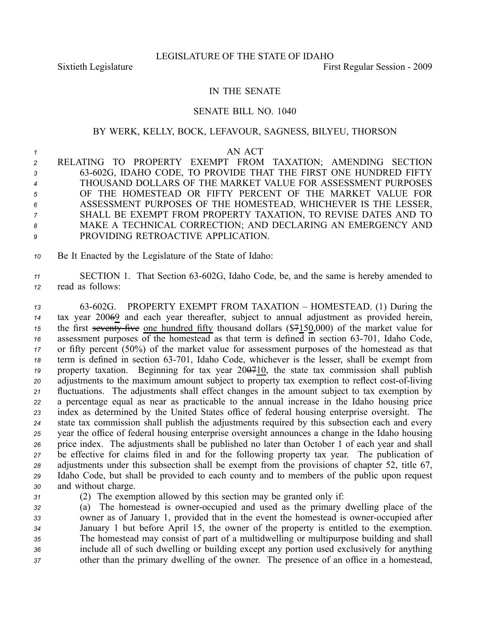## IN THE SENATE

## SENATE BILL NO. 1040

## BY WERK, KELLY, BOCK, LEFAVOUR, SAGNESS, BILYEU, THORSON

## *1* AN ACT

 RELATING TO PROPERTY EXEMPT FROM TAXATION; AMENDING SECTION 63602G, IDAHO CODE, TO PROVIDE THAT THE FIRST ONE HUNDRED FIFTY THOUSAND DOLLARS OF THE MARKET VALUE FOR ASSESSMENT PURPOSES OF THE HOMESTEAD OR FIFTY PERCENT OF THE MARKET VALUE FOR ASSESSMENT PURPOSES OF THE HOMESTEAD, WHICHEVER IS THE LESSER, SHALL BE EXEMPT FROM PROPERTY TAXATION, TO REVISE DATES AND TO MAKE A TECHNICAL CORRECTION; AND DECLARING AN EMERGENCY AND PROVIDING RETROACTIVE APPLICATION.

*<sup>10</sup>* Be It Enacted by the Legislature of the State of Idaho:

11 SECTION 1. That Section 63-602G, Idaho Code, be, and the same is hereby amended to *<sup>12</sup>* read as follows:

 63602G. PROPERTY EXEMPT FROM TAXATION – HOMESTEAD. (1) During the tax year 20069 and each year thereafter, subject to annual adjustment as provided herein, the first seventy-five one hundred fifty thousand dollars  $(\frac{1}{2}4150,000)$  of the market value for assessment purposes of the homestead as that term is defined in section  $63-701$ , Idaho Code, or fifty percen<sup>t</sup> (50%) of the market value for assessment purposes of the homestead as that 18 term is defined in section 63-701, Idaho Code, whichever is the lesser, shall be exempt from property taxation. Beginning for tax year 200710, the state tax commission shall publish adjustments to the maximum amount subject to property tax exemption to reflect cost-of-living fluctuations. The adjustments shall effect changes in the amount subject to tax exemption by <sup>a</sup> percentage equal as near as practicable to the annual increase in the Idaho housing price index as determined by the United States office of federal housing enterprise oversight. The state tax commission shall publish the adjustments required by this subsection each and every year the office of federal housing enterprise oversight announces <sup>a</sup> change in the Idaho housing price index. The adjustments shall be published no later than October 1 of each year and shall be effective for claims filed in and for the following property tax year. The publication of adjustments under this subsection shall be exemp<sup>t</sup> from the provisions of chapter 52, title 67, Idaho Code, but shall be provided to each county and to members of the public upon reques<sup>t</sup> and without charge.

*<sup>31</sup>* (2) The exemption allowed by this section may be granted only if:

 (a) The homestead is owner-occupied and used as the primary dwelling place of the 33 owner as of January 1, provided that in the event the homestead is owner-occupied after January 1 but before April 15, the owner of the property is entitled to the exemption. The homestead may consist of par<sup>t</sup> of <sup>a</sup> multidwelling or multipurpose building and shall include all of such dwelling or building excep<sup>t</sup> any portion used exclusively for anything other than the primary dwelling of the owner. The presence of an office in <sup>a</sup> homestead,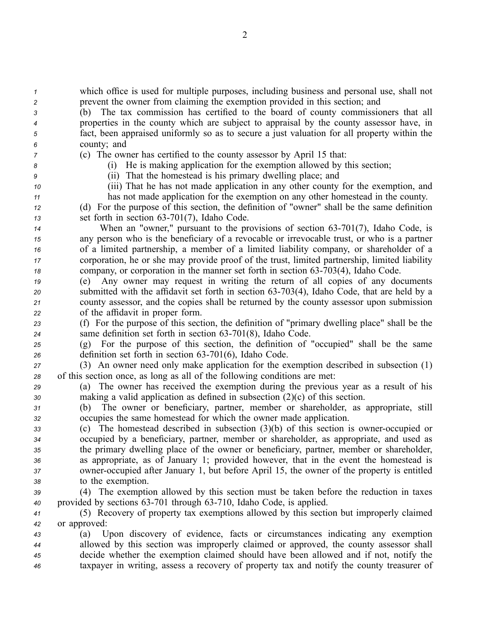*<sup>1</sup>* which office is used for multiple purposes, including business and personal use, shall not *<sup>2</sup>* preven<sup>t</sup> the owner from claiming the exemption provided in this section; and

 (b) The tax commission has certified to the board of county commissioners that all properties in the county which are subject to appraisal by the county assessor have, in fact, been appraised uniformly so as to secure <sup>a</sup> just valuation for all property within the county; and

*<sup>7</sup>* (c) The owner has certified to the county assessor by April 15 that: *<sup>8</sup>* (i) He is making application for the exemption allowed by this section;

*<sup>9</sup>* (ii) That the homestead is his primary dwelling place; and

*<sup>10</sup>* (iii) That he has not made application in any other county for the exemption, and *<sup>11</sup>* has not made application for the exemption on any other homestead in the county.

*<sup>12</sup>* (d) For the purpose of this section, the definition of "owner" shall be the same definition 13 set forth in section 63-701(7), Idaho Code.

 When an "owner," pursuant to the provisions of section 63-701(7), Idaho Code, is any person who is the beneficiary of <sup>a</sup> revocable or irrevocable trust, or who is <sup>a</sup> partner of <sup>a</sup> limited partnership, <sup>a</sup> member of <sup>a</sup> limited liability company, or shareholder of <sup>a</sup> corporation, he or she may provide proof of the trust, limited partnership, limited liability company, or corporation in the manner set forth in section 63-703(4), Idaho Code.

 (e) Any owner may reques<sup>t</sup> in writing the return of all copies of any documents 20 submitted with the affidavit set forth in section 63-703(4), Idaho Code, that are held by a county assessor, and the copies shall be returned by the county assessor upon submission of the affidavit in proper form.

*<sup>23</sup>* (f) For the purpose of this section, the definition of "primary dwelling place" shall be the <sup>24</sup> same definition set forth in section 63-701(8), Idaho Code.

*<sup>25</sup>* (g) For the purpose of this section, the definition of "occupied" shall be the same 26 definition set forth in section 63-701(6), Idaho Code.

*<sup>27</sup>* (3) An owner need only make application for the exemption described in subsection (1) *<sup>28</sup>* of this section once, as long as all of the following conditions are met:

*<sup>29</sup>* (a) The owner has received the exemption during the previous year as <sup>a</sup> result of his *<sup>30</sup>* making <sup>a</sup> valid application as defined in subsection (2)(c) of this section.

*<sup>31</sup>* (b) The owner or beneficiary, partner, member or shareholder, as appropriate, still *<sup>32</sup>* occupies the same homestead for which the owner made application.

 (c) The homestead described in subsection (3)(b) of this section is owner-occupied or occupied by <sup>a</sup> beneficiary, partner, member or shareholder, as appropriate, and used as the primary dwelling place of the owner or beneficiary, partner, member or shareholder, as appropriate, as of January 1; provided however, that in the event the homestead is 37 owner-occupied after January 1, but before April 15, the owner of the property is entitled to the exemption.

*<sup>39</sup>* (4) The exemption allowed by this section must be taken before the reduction in taxes 40 provided by sections 63-701 through 63-710, Idaho Code, is applied.

*<sup>41</sup>* (5) Recovery of property tax exemptions allowed by this section but improperly claimed *<sup>42</sup>* or approved:

 (a) Upon discovery of evidence, facts or circumstances indicating any exemption allowed by this section was improperly claimed or approved, the county assessor shall decide whether the exemption claimed should have been allowed and if not, notify the taxpayer in writing, assess <sup>a</sup> recovery of property tax and notify the county treasurer of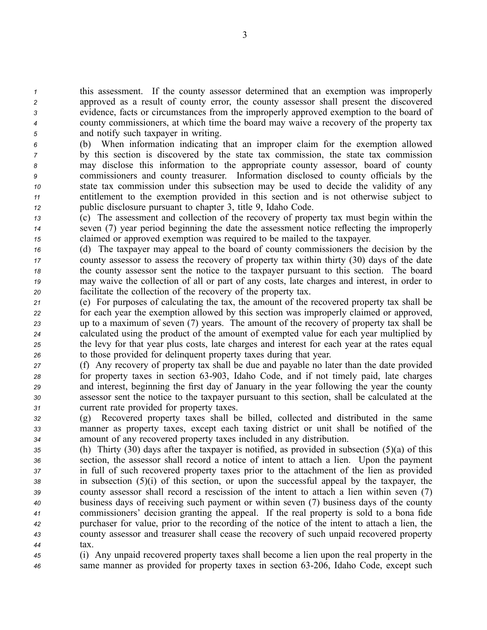this assessment. If the county assessor determined that an exemption was improperly approved as <sup>a</sup> result of county error, the county assessor shall presen<sup>t</sup> the discovered evidence, facts or circumstances from the improperly approved exemption to the board of county commissioners, at which time the board may waive <sup>a</sup> recovery of the property tax and notify such taxpayer in writing.

 (b) When information indicating that an improper claim for the exemption allowed by this section is discovered by the state tax commission, the state tax commission may disclose this information to the appropriate county assessor, board of county commissioners and county treasurer. Information disclosed to county officials by the state tax commission under this subsection may be used to decide the validity of any entitlement to the exemption provided in this section and is not otherwise subject to public disclosure pursuan<sup>t</sup> to chapter 3, title 9, Idaho Code.

*<sup>13</sup>* (c) The assessment and collection of the recovery of property tax must begin within the *<sup>14</sup>* seven (7) year period beginning the date the assessment notice reflecting the improperly *<sup>15</sup>* claimed or approved exemption was required to be mailed to the taxpayer.

 (d) The taxpayer may appeal to the board of county commissioners the decision by the county assessor to assess the recovery of property tax within thirty (30) days of the date the county assessor sent the notice to the taxpayer pursuan<sup>t</sup> to this section. The board may waive the collection of all or par<sup>t</sup> of any costs, late charges and interest, in order to facilitate the collection of the recovery of the property tax.

 (e) For purposes of calculating the tax, the amount of the recovered property tax shall be for each year the exemption allowed by this section was improperly claimed or approved, up to <sup>a</sup> maximum of seven (7) years. The amount of the recovery of property tax shall be calculated using the product of the amount of exempted value for each year multiplied by the levy for that year plus costs, late charges and interest for each year at the rates equal to those provided for delinquent property taxes during that year.

 (f) Any recovery of property tax shall be due and payable no later than the date provided for property taxes in section 63-903, Idaho Code, and if not timely paid, late charges and interest, beginning the first day of January in the year following the year the county assessor sent the notice to the taxpayer pursuan<sup>t</sup> to this section, shall be calculated at the current rate provided for property taxes.

*<sup>32</sup>* (g) Recovered property taxes shall be billed, collected and distributed in the same *<sup>33</sup>* manner as property taxes, excep<sup>t</sup> each taxing district or unit shall be notified of the *<sup>34</sup>* amount of any recovered property taxes included in any distribution.

 (h) Thirty (30) days after the taxpayer is notified, as provided in subsection (5)(a) of this section, the assessor shall record <sup>a</sup> notice of intent to attach <sup>a</sup> lien. Upon the paymen<sup>t</sup> in full of such recovered property taxes prior to the attachment of the lien as provided in subsection (5)(i) of this section, or upon the successful appeal by the taxpayer, the county assessor shall record <sup>a</sup> rescission of the intent to attach <sup>a</sup> lien within seven (7) business days of receiving such paymen<sup>t</sup> or within seven (7) business days of the county commissioners' decision granting the appeal. If the real property is sold to <sup>a</sup> bona fide purchaser for value, prior to the recording of the notice of the intent to attach <sup>a</sup> lien, the county assessor and treasurer shall cease the recovery of such unpaid recovered property *44* tax.

*<sup>45</sup>* (i) Any unpaid recovered property taxes shall become <sup>a</sup> lien upon the real property in the *<sup>46</sup>* same manner as provided for property taxes in section 63206, Idaho Code, excep<sup>t</sup> such